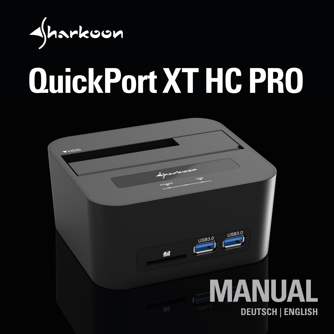

## **QuickPort XT HC PRO**

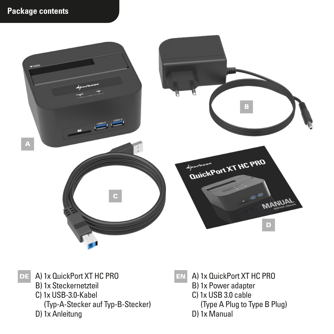

DE A) 1x QuickPort XT HC PRO

- B) 1x Steckernetzteil
- C) 1x USB-3.0-Kabel
- (Typ-A-Stecker auf Typ-B-Stecker)
- D) 1x Anleitung
- 
- EN A) 1x QuickPort XT HC PRO
	- B) 1x Power adapter
	- C) 1x USB 3.0 cable
		- (Type A Plug to Type B Plug)
	- D) 1x Manual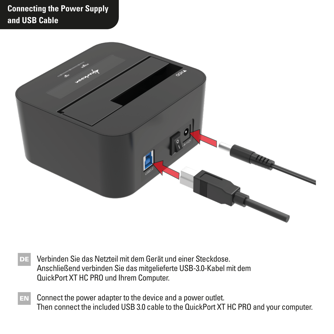## **Connecting the Power Supply and USB Cable**



- Verbinden Sie das Netzteil mit dem Gerät und einer Steckdose. Anschließend verbinden Sie das mitgelieferte USB-3.0-Kabel mit dem QuickPort XT HC PRO und Ihrem Computer. DE
- $E_N$  Connect the power adapter to the device and a power outlet. Then connect the included USB 3.0 cable to the QuickPort XT HC PRO and your computer.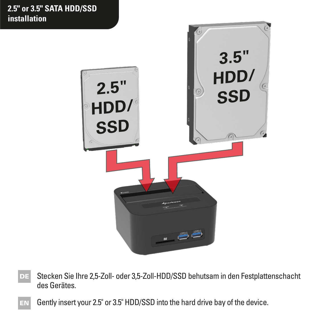

- Stecken Sie Ihre 2,5-Zoll- oder 3,5-Zoll-HDD/SSD behutsam in den Festplattenschacht des Gerätes.
- EN Gently insert your 2.5" or 3.5" HDD/SSD into the hard drive bay of the device.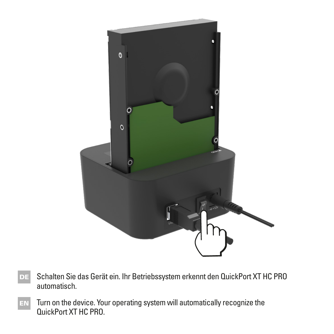

- Schalten Sie das Gerät ein. Ihr Betriebssystem erkennt den QuickPort XT HC PRO automatisch.
- Turn on the device. Your operating system will automatically recognize the QuickPort XT HC PRO.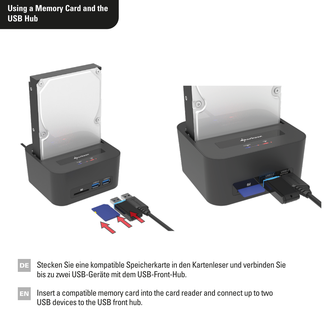**Using a Memory Card and the USB Hub**



- Stecken Sie eine kompatible Speicherkarte in den Kartenleser und verbinden Sie bis zu zwei USB-Geräte mit dem USB-Front-Hub. DE
- Insert a compatible memory card into the card reader and connect up to two USB devices to the USB front hub.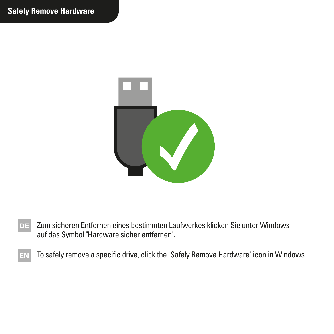

- Zum sicheren Entfernen eines bestimmten Laufwerkes klicken Sie unter Windows auf das Symbol "Hardware sicher entfernen". DE
- $E_N$  To safely remove a specific drive, click the "Safely Remove Hardware" icon in Windows.